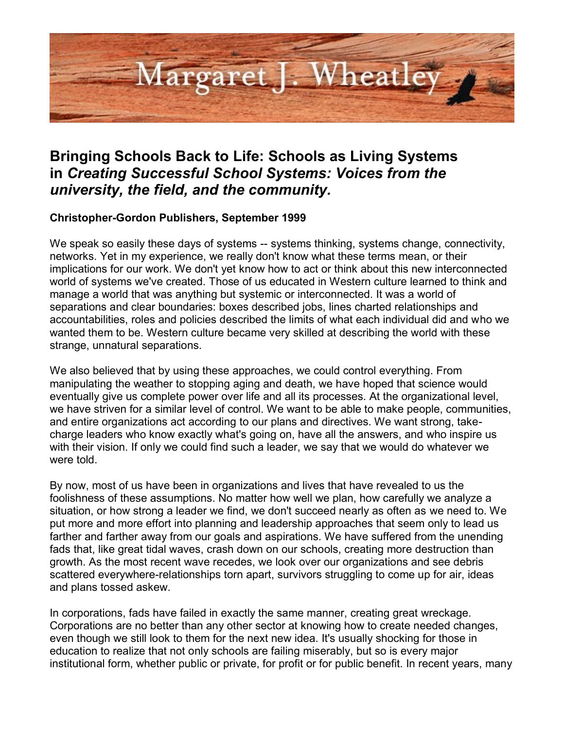

# **Bringing Schools Back to Life: Schools as Living Systems in** *Creating Successful School Systems: Voices from the university, the field, and the community.*

# **Christopher-Gordon Publishers, September 1999**

We speak so easily these days of systems -- systems thinking, systems change, connectivity, networks. Yet in my experience, we really don't know what these terms mean, or their implications for our work. We don't yet know how to act or think about this new interconnected world of systems we've created. Those of us educated in Western culture learned to think and manage a world that was anything but systemic or interconnected. It was a world of separations and clear boundaries: boxes described jobs, lines charted relationships and accountabilities, roles and policies described the limits of what each individual did and who we wanted them to be. Western culture became very skilled at describing the world with these strange, unnatural separations.

We also believed that by using these approaches, we could control everything. From manipulating the weather to stopping aging and death, we have hoped that science would eventually give us complete power over life and all its processes. At the organizational level, we have striven for a similar level of control. We want to be able to make people, communities, and entire organizations act according to our plans and directives. We want strong, takecharge leaders who know exactly what's going on, have all the answers, and who inspire us with their vision. If only we could find such a leader, we say that we would do whatever we were told.

By now, most of us have been in organizations and lives that have revealed to us the foolishness of these assumptions. No matter how well we plan, how carefully we analyze a situation, or how strong a leader we find, we don't succeed nearly as often as we need to. We put more and more effort into planning and leadership approaches that seem only to lead us farther and farther away from our goals and aspirations. We have suffered from the unending fads that, like great tidal waves, crash down on our schools, creating more destruction than growth. As the most recent wave recedes, we look over our organizations and see debris scattered everywhere-relationships torn apart, survivors struggling to come up for air, ideas and plans tossed askew.

In corporations, fads have failed in exactly the same manner, creating great wreckage. Corporations are no better than any other sector at knowing how to create needed changes, even though we still look to them for the next new idea. It's usually shocking for those in education to realize that not only schools are failing miserably, but so is every major institutional form, whether public or private, for profit or for public benefit. In recent years, many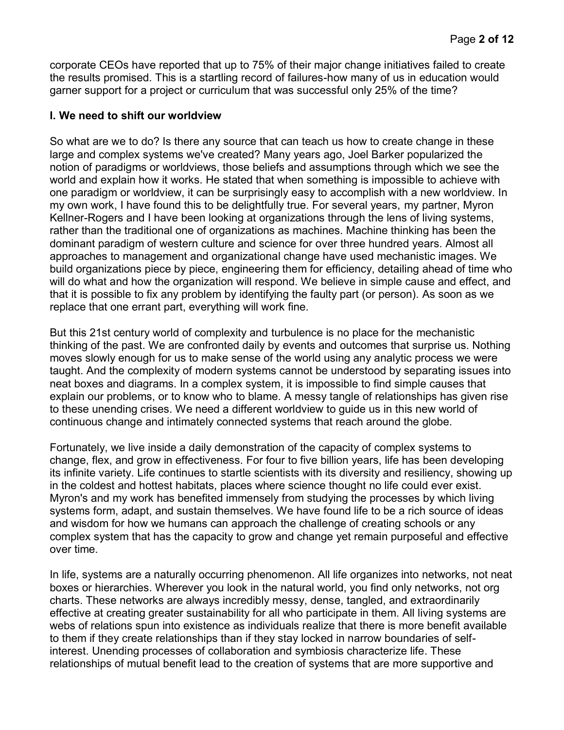corporate CEOs have reported that up to 75% of their major change initiatives failed to create the results promised. This is a startling record of failures-how many of us in education would garner support for a project or curriculum that was successful only 25% of the time?

## **I. We need to shift our worldview**

So what are we to do? Is there any source that can teach us how to create change in these large and complex systems we've created? Many years ago, Joel Barker popularized the notion of paradigms or worldviews, those beliefs and assumptions through which we see the world and explain how it works. He stated that when something is impossible to achieve with one paradigm or worldview, it can be surprisingly easy to accomplish with a new worldview. In my own work, I have found this to be delightfully true. For several years, my partner, Myron Kellner-Rogers and I have been looking at organizations through the lens of living systems, rather than the traditional one of organizations as machines. Machine thinking has been the dominant paradigm of western culture and science for over three hundred years. Almost all approaches to management and organizational change have used mechanistic images. We build organizations piece by piece, engineering them for efficiency, detailing ahead of time who will do what and how the organization will respond. We believe in simple cause and effect, and that it is possible to fix any problem by identifying the faulty part (or person). As soon as we replace that one errant part, everything will work fine.

But this 21st century world of complexity and turbulence is no place for the mechanistic thinking of the past. We are confronted daily by events and outcomes that surprise us. Nothing moves slowly enough for us to make sense of the world using any analytic process we were taught. And the complexity of modern systems cannot be understood by separating issues into neat boxes and diagrams. In a complex system, it is impossible to find simple causes that explain our problems, or to know who to blame. A messy tangle of relationships has given rise to these unending crises. We need a different worldview to guide us in this new world of continuous change and intimately connected systems that reach around the globe.

Fortunately, we live inside a daily demonstration of the capacity of complex systems to change, flex, and grow in effectiveness. For four to five billion years, life has been developing its infinite variety. Life continues to startle scientists with its diversity and resiliency, showing up in the coldest and hottest habitats, places where science thought no life could ever exist. Myron's and my work has benefited immensely from studying the processes by which living systems form, adapt, and sustain themselves. We have found life to be a rich source of ideas and wisdom for how we humans can approach the challenge of creating schools or any complex system that has the capacity to grow and change yet remain purposeful and effective over time.

In life, systems are a naturally occurring phenomenon. All life organizes into networks, not neat boxes or hierarchies. Wherever you look in the natural world, you find only networks, not org charts. These networks are always incredibly messy, dense, tangled, and extraordinarily effective at creating greater sustainability for all who participate in them. All living systems are webs of relations spun into existence as individuals realize that there is more benefit available to them if they create relationships than if they stay locked in narrow boundaries of selfinterest. Unending processes of collaboration and symbiosis characterize life. These relationships of mutual benefit lead to the creation of systems that are more supportive and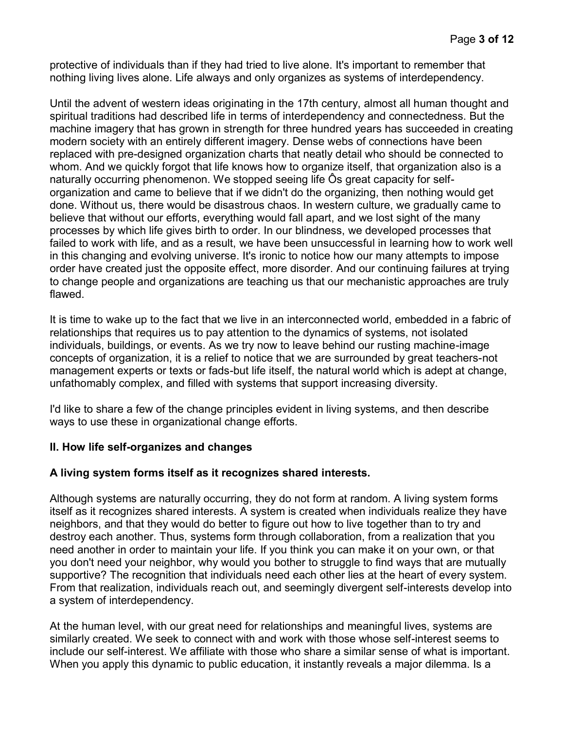protective of individuals than if they had tried to live alone. It's important to remember that nothing living lives alone. Life always and only organizes as systems of interdependency.

Until the advent of western ideas originating in the 17th century, almost all human thought and spiritual traditions had described life in terms of interdependency and connectedness. But the machine imagery that has grown in strength for three hundred years has succeeded in creating modern society with an entirely different imagery. Dense webs of connections have been replaced with pre-designed organization charts that neatly detail who should be connected to whom. And we quickly forgot that life knows how to organize itself, that organization also is a naturally occurring phenomenon. We stopped seeing life Ôs great capacity for selforganization and came to believe that if we didn't do the organizing, then nothing would get done. Without us, there would be disastrous chaos. In western culture, we gradually came to believe that without our efforts, everything would fall apart, and we lost sight of the many processes by which life gives birth to order. In our blindness, we developed processes that failed to work with life, and as a result, we have been unsuccessful in learning how to work well in this changing and evolving universe. It's ironic to notice how our many attempts to impose order have created just the opposite effect, more disorder. And our continuing failures at trying to change people and organizations are teaching us that our mechanistic approaches are truly flawed.

It is time to wake up to the fact that we live in an interconnected world, embedded in a fabric of relationships that requires us to pay attention to the dynamics of systems, not isolated individuals, buildings, or events. As we try now to leave behind our rusting machine-image concepts of organization, it is a relief to notice that we are surrounded by great teachers-not management experts or texts or fads-but life itself, the natural world which is adept at change, unfathomably complex, and filled with systems that support increasing diversity.

I'd like to share a few of the change principles evident in living systems, and then describe ways to use these in organizational change efforts.

# **II. How life self-organizes and changes**

# **A living system forms itself as it recognizes shared interests.**

Although systems are naturally occurring, they do not form at random. A living system forms itself as it recognizes shared interests. A system is created when individuals realize they have neighbors, and that they would do better to figure out how to live together than to try and destroy each another. Thus, systems form through collaboration, from a realization that you need another in order to maintain your life. If you think you can make it on your own, or that you don't need your neighbor, why would you bother to struggle to find ways that are mutually supportive? The recognition that individuals need each other lies at the heart of every system. From that realization, individuals reach out, and seemingly divergent self-interests develop into a system of interdependency.

At the human level, with our great need for relationships and meaningful lives, systems are similarly created. We seek to connect with and work with those whose self-interest seems to include our self-interest. We affiliate with those who share a similar sense of what is important. When you apply this dynamic to public education, it instantly reveals a major dilemma. Is a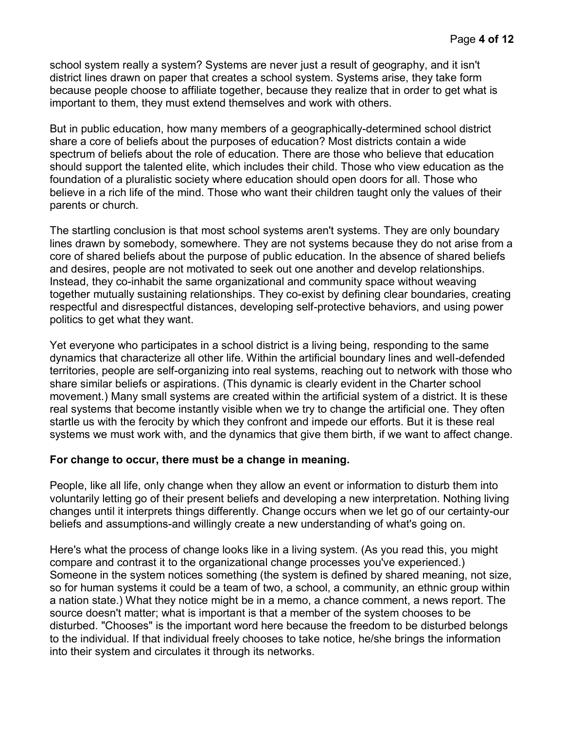school system really a system? Systems are never just a result of geography, and it isn't district lines drawn on paper that creates a school system. Systems arise, they take form because people choose to affiliate together, because they realize that in order to get what is important to them, they must extend themselves and work with others.

But in public education, how many members of a geographically-determined school district share a core of beliefs about the purposes of education? Most districts contain a wide spectrum of beliefs about the role of education. There are those who believe that education should support the talented elite, which includes their child. Those who view education as the foundation of a pluralistic society where education should open doors for all. Those who believe in a rich life of the mind. Those who want their children taught only the values of their parents or church.

The startling conclusion is that most school systems aren't systems. They are only boundary lines drawn by somebody, somewhere. They are not systems because they do not arise from a core of shared beliefs about the purpose of public education. In the absence of shared beliefs and desires, people are not motivated to seek out one another and develop relationships. Instead, they co-inhabit the same organizational and community space without weaving together mutually sustaining relationships. They co-exist by defining clear boundaries, creating respectful and disrespectful distances, developing self-protective behaviors, and using power politics to get what they want.

Yet everyone who participates in a school district is a living being, responding to the same dynamics that characterize all other life. Within the artificial boundary lines and well-defended territories, people are self-organizing into real systems, reaching out to network with those who share similar beliefs or aspirations. (This dynamic is clearly evident in the Charter school movement.) Many small systems are created within the artificial system of a district. It is these real systems that become instantly visible when we try to change the artificial one. They often startle us with the ferocity by which they confront and impede our efforts. But it is these real systems we must work with, and the dynamics that give them birth, if we want to affect change.

# **For change to occur, there must be a change in meaning.**

People, like all life, only change when they allow an event or information to disturb them into voluntarily letting go of their present beliefs and developing a new interpretation. Nothing living changes until it interprets things differently. Change occurs when we let go of our certainty-our beliefs and assumptions-and willingly create a new understanding of what's going on.

Here's what the process of change looks like in a living system. (As you read this, you might compare and contrast it to the organizational change processes you've experienced.) Someone in the system notices something (the system is defined by shared meaning, not size, so for human systems it could be a team of two, a school, a community, an ethnic group within a nation state.) What they notice might be in a memo, a chance comment, a news report. The source doesn't matter; what is important is that a member of the system chooses to be disturbed. "Chooses" is the important word here because the freedom to be disturbed belongs to the individual. If that individual freely chooses to take notice, he/she brings the information into their system and circulates it through its networks.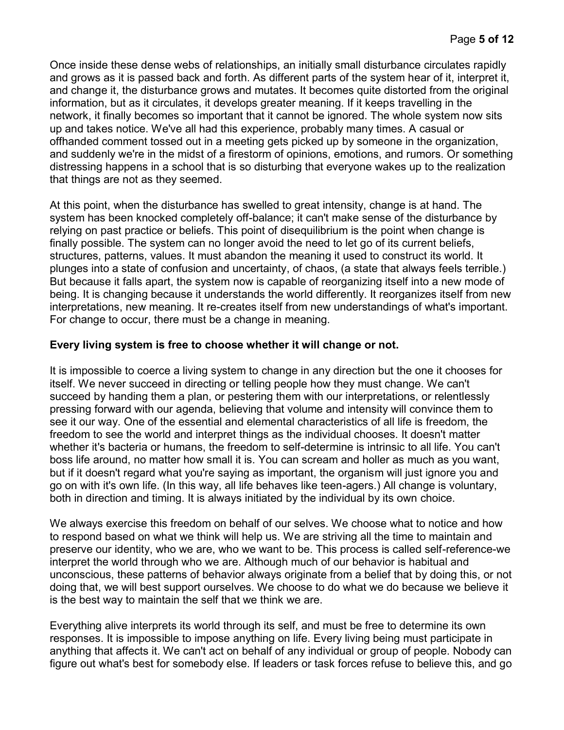Once inside these dense webs of relationships, an initially small disturbance circulates rapidly and grows as it is passed back and forth. As different parts of the system hear of it, interpret it, and change it, the disturbance grows and mutates. It becomes quite distorted from the original information, but as it circulates, it develops greater meaning. If it keeps travelling in the network, it finally becomes so important that it cannot be ignored. The whole system now sits up and takes notice. We've all had this experience, probably many times. A casual or offhanded comment tossed out in a meeting gets picked up by someone in the organization, and suddenly we're in the midst of a firestorm of opinions, emotions, and rumors. Or something distressing happens in a school that is so disturbing that everyone wakes up to the realization that things are not as they seemed.

At this point, when the disturbance has swelled to great intensity, change is at hand. The system has been knocked completely off-balance; it can't make sense of the disturbance by relying on past practice or beliefs. This point of disequilibrium is the point when change is finally possible. The system can no longer avoid the need to let go of its current beliefs, structures, patterns, values. It must abandon the meaning it used to construct its world. It plunges into a state of confusion and uncertainty, of chaos, (a state that always feels terrible.) But because it falls apart, the system now is capable of reorganizing itself into a new mode of being. It is changing because it understands the world differently. It reorganizes itself from new interpretations, new meaning. It re-creates itself from new understandings of what's important. For change to occur, there must be a change in meaning.

# **Every living system is free to choose whether it will change or not.**

It is impossible to coerce a living system to change in any direction but the one it chooses for itself. We never succeed in directing or telling people how they must change. We can't succeed by handing them a plan, or pestering them with our interpretations, or relentlessly pressing forward with our agenda, believing that volume and intensity will convince them to see it our way. One of the essential and elemental characteristics of all life is freedom, the freedom to see the world and interpret things as the individual chooses. It doesn't matter whether it's bacteria or humans, the freedom to self-determine is intrinsic to all life. You can't boss life around, no matter how small it is. You can scream and holler as much as you want, but if it doesn't regard what you're saying as important, the organism will just ignore you and go on with it's own life. (In this way, all life behaves like teen-agers.) All change is voluntary, both in direction and timing. It is always initiated by the individual by its own choice.

We always exercise this freedom on behalf of our selves. We choose what to notice and how to respond based on what we think will help us. We are striving all the time to maintain and preserve our identity, who we are, who we want to be. This process is called self-reference-we interpret the world through who we are. Although much of our behavior is habitual and unconscious, these patterns of behavior always originate from a belief that by doing this, or not doing that, we will best support ourselves. We choose to do what we do because we believe it is the best way to maintain the self that we think we are.

Everything alive interprets its world through its self, and must be free to determine its own responses. It is impossible to impose anything on life. Every living being must participate in anything that affects it. We can't act on behalf of any individual or group of people. Nobody can figure out what's best for somebody else. If leaders or task forces refuse to believe this, and go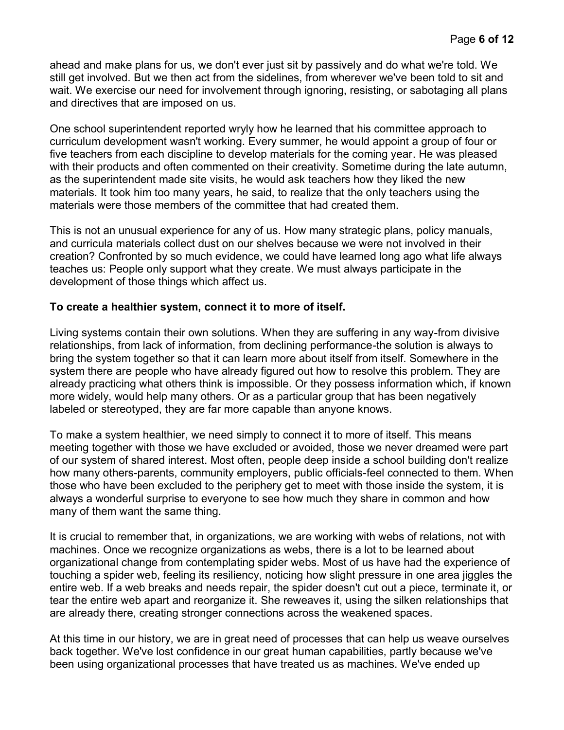ahead and make plans for us, we don't ever just sit by passively and do what we're told. We still get involved. But we then act from the sidelines, from wherever we've been told to sit and wait. We exercise our need for involvement through ignoring, resisting, or sabotaging all plans and directives that are imposed on us.

One school superintendent reported wryly how he learned that his committee approach to curriculum development wasn't working. Every summer, he would appoint a group of four or five teachers from each discipline to develop materials for the coming year. He was pleased with their products and often commented on their creativity. Sometime during the late autumn, as the superintendent made site visits, he would ask teachers how they liked the new materials. It took him too many years, he said, to realize that the only teachers using the materials were those members of the committee that had created them.

This is not an unusual experience for any of us. How many strategic plans, policy manuals, and curricula materials collect dust on our shelves because we were not involved in their creation? Confronted by so much evidence, we could have learned long ago what life always teaches us: People only support what they create. We must always participate in the development of those things which affect us.

## **To create a healthier system, connect it to more of itself.**

Living systems contain their own solutions. When they are suffering in any way-from divisive relationships, from lack of information, from declining performance-the solution is always to bring the system together so that it can learn more about itself from itself. Somewhere in the system there are people who have already figured out how to resolve this problem. They are already practicing what others think is impossible. Or they possess information which, if known more widely, would help many others. Or as a particular group that has been negatively labeled or stereotyped, they are far more capable than anyone knows.

To make a system healthier, we need simply to connect it to more of itself. This means meeting together with those we have excluded or avoided, those we never dreamed were part of our system of shared interest. Most often, people deep inside a school building don't realize how many others-parents, community employers, public officials-feel connected to them. When those who have been excluded to the periphery get to meet with those inside the system, it is always a wonderful surprise to everyone to see how much they share in common and how many of them want the same thing.

It is crucial to remember that, in organizations, we are working with webs of relations, not with machines. Once we recognize organizations as webs, there is a lot to be learned about organizational change from contemplating spider webs. Most of us have had the experience of touching a spider web, feeling its resiliency, noticing how slight pressure in one area jiggles the entire web. If a web breaks and needs repair, the spider doesn't cut out a piece, terminate it, or tear the entire web apart and reorganize it. She reweaves it, using the silken relationships that are already there, creating stronger connections across the weakened spaces.

At this time in our history, we are in great need of processes that can help us weave ourselves back together. We've lost confidence in our great human capabilities, partly because we've been using organizational processes that have treated us as machines. We've ended up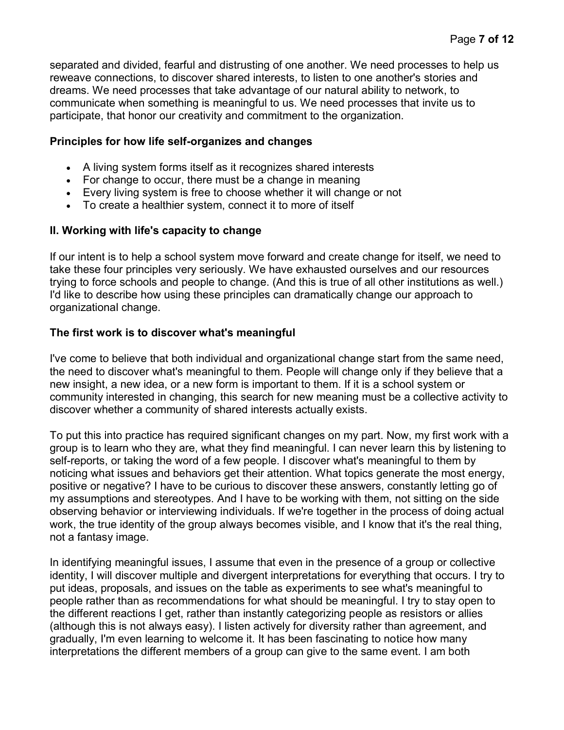separated and divided, fearful and distrusting of one another. We need processes to help us reweave connections, to discover shared interests, to listen to one another's stories and dreams. We need processes that take advantage of our natural ability to network, to communicate when something is meaningful to us. We need processes that invite us to participate, that honor our creativity and commitment to the organization.

## **Principles for how life self-organizes and changes**

- A living system forms itself as it recognizes shared interests
- For change to occur, there must be a change in meaning
- Every living system is free to choose whether it will change or not
- To create a healthier system, connect it to more of itself

# **II. Working with life's capacity to change**

If our intent is to help a school system move forward and create change for itself, we need to take these four principles very seriously. We have exhausted ourselves and our resources trying to force schools and people to change. (And this is true of all other institutions as well.) I'd like to describe how using these principles can dramatically change our approach to organizational change.

## **The first work is to discover what's meaningful**

I've come to believe that both individual and organizational change start from the same need, the need to discover what's meaningful to them. People will change only if they believe that a new insight, a new idea, or a new form is important to them. If it is a school system or community interested in changing, this search for new meaning must be a collective activity to discover whether a community of shared interests actually exists.

To put this into practice has required significant changes on my part. Now, my first work with a group is to learn who they are, what they find meaningful. I can never learn this by listening to self-reports, or taking the word of a few people. I discover what's meaningful to them by noticing what issues and behaviors get their attention. What topics generate the most energy, positive or negative? I have to be curious to discover these answers, constantly letting go of my assumptions and stereotypes. And I have to be working with them, not sitting on the side observing behavior or interviewing individuals. If we're together in the process of doing actual work, the true identity of the group always becomes visible, and I know that it's the real thing, not a fantasy image.

In identifying meaningful issues, I assume that even in the presence of a group or collective identity, I will discover multiple and divergent interpretations for everything that occurs. I try to put ideas, proposals, and issues on the table as experiments to see what's meaningful to people rather than as recommendations for what should be meaningful. I try to stay open to the different reactions I get, rather than instantly categorizing people as resistors or allies (although this is not always easy). I listen actively for diversity rather than agreement, and gradually, I'm even learning to welcome it. It has been fascinating to notice how many interpretations the different members of a group can give to the same event. I am both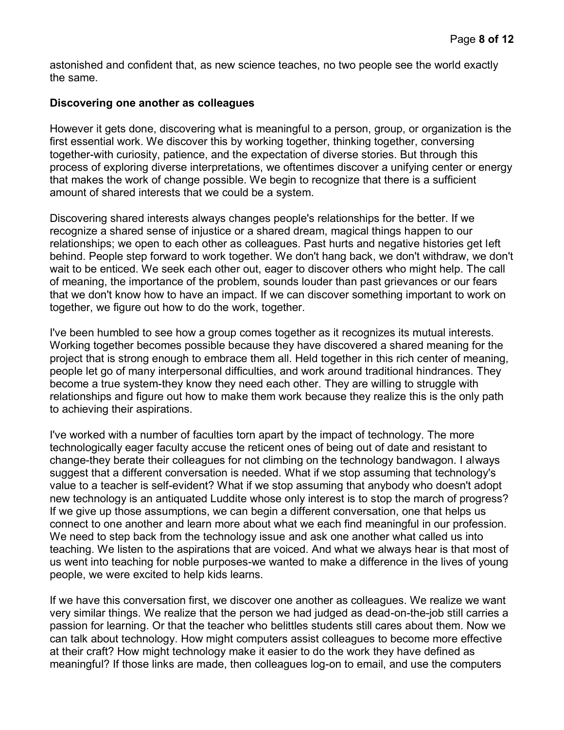astonished and confident that, as new science teaches, no two people see the world exactly the same.

#### **Discovering one another as colleagues**

However it gets done, discovering what is meaningful to a person, group, or organization is the first essential work. We discover this by working together, thinking together, conversing together-with curiosity, patience, and the expectation of diverse stories. But through this process of exploring diverse interpretations, we oftentimes discover a unifying center or energy that makes the work of change possible. We begin to recognize that there is a sufficient amount of shared interests that we could be a system.

Discovering shared interests always changes people's relationships for the better. If we recognize a shared sense of injustice or a shared dream, magical things happen to our relationships; we open to each other as colleagues. Past hurts and negative histories get left behind. People step forward to work together. We don't hang back, we don't withdraw, we don't wait to be enticed. We seek each other out, eager to discover others who might help. The call of meaning, the importance of the problem, sounds louder than past grievances or our fears that we don't know how to have an impact. If we can discover something important to work on together, we figure out how to do the work, together.

I've been humbled to see how a group comes together as it recognizes its mutual interests. Working together becomes possible because they have discovered a shared meaning for the project that is strong enough to embrace them all. Held together in this rich center of meaning, people let go of many interpersonal difficulties, and work around traditional hindrances. They become a true system-they know they need each other. They are willing to struggle with relationships and figure out how to make them work because they realize this is the only path to achieving their aspirations.

I've worked with a number of faculties torn apart by the impact of technology. The more technologically eager faculty accuse the reticent ones of being out of date and resistant to change-they berate their colleagues for not climbing on the technology bandwagon. I always suggest that a different conversation is needed. What if we stop assuming that technology's value to a teacher is self-evident? What if we stop assuming that anybody who doesn't adopt new technology is an antiquated Luddite whose only interest is to stop the march of progress? If we give up those assumptions, we can begin a different conversation, one that helps us connect to one another and learn more about what we each find meaningful in our profession. We need to step back from the technology issue and ask one another what called us into teaching. We listen to the aspirations that are voiced. And what we always hear is that most of us went into teaching for noble purposes-we wanted to make a difference in the lives of young people, we were excited to help kids learns.

If we have this conversation first, we discover one another as colleagues. We realize we want very similar things. We realize that the person we had judged as dead-on-the-job still carries a passion for learning. Or that the teacher who belittles students still cares about them. Now we can talk about technology. How might computers assist colleagues to become more effective at their craft? How might technology make it easier to do the work they have defined as meaningful? If those links are made, then colleagues log-on to email, and use the computers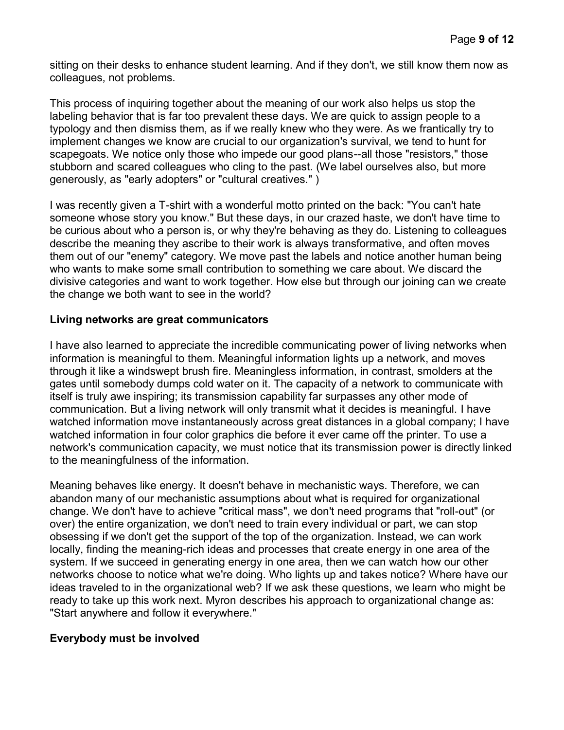sitting on their desks to enhance student learning. And if they don't, we still know them now as colleagues, not problems.

This process of inquiring together about the meaning of our work also helps us stop the labeling behavior that is far too prevalent these days. We are quick to assign people to a typology and then dismiss them, as if we really knew who they were. As we frantically try to implement changes we know are crucial to our organization's survival, we tend to hunt for scapegoats. We notice only those who impede our good plans--all those "resistors," those stubborn and scared colleagues who cling to the past. (We label ourselves also, but more generously, as "early adopters" or "cultural creatives." )

I was recently given a T-shirt with a wonderful motto printed on the back: "You can't hate someone whose story you know." But these days, in our crazed haste, we don't have time to be curious about who a person is, or why they're behaving as they do. Listening to colleagues describe the meaning they ascribe to their work is always transformative, and often moves them out of our "enemy" category. We move past the labels and notice another human being who wants to make some small contribution to something we care about. We discard the divisive categories and want to work together. How else but through our joining can we create the change we both want to see in the world?

## **Living networks are great communicators**

I have also learned to appreciate the incredible communicating power of living networks when information is meaningful to them. Meaningful information lights up a network, and moves through it like a windswept brush fire. Meaningless information, in contrast, smolders at the gates until somebody dumps cold water on it. The capacity of a network to communicate with itself is truly awe inspiring; its transmission capability far surpasses any other mode of communication. But a living network will only transmit what it decides is meaningful. I have watched information move instantaneously across great distances in a global company; I have watched information in four color graphics die before it ever came off the printer. To use a network's communication capacity, we must notice that its transmission power is directly linked to the meaningfulness of the information.

Meaning behaves like energy. It doesn't behave in mechanistic ways. Therefore, we can abandon many of our mechanistic assumptions about what is required for organizational change. We don't have to achieve "critical mass", we don't need programs that "roll-out" (or over) the entire organization, we don't need to train every individual or part, we can stop obsessing if we don't get the support of the top of the organization. Instead, we can work locally, finding the meaning-rich ideas and processes that create energy in one area of the system. If we succeed in generating energy in one area, then we can watch how our other networks choose to notice what we're doing. Who lights up and takes notice? Where have our ideas traveled to in the organizational web? If we ask these questions, we learn who might be ready to take up this work next. Myron describes his approach to organizational change as: "Start anywhere and follow it everywhere."

# **Everybody must be involved**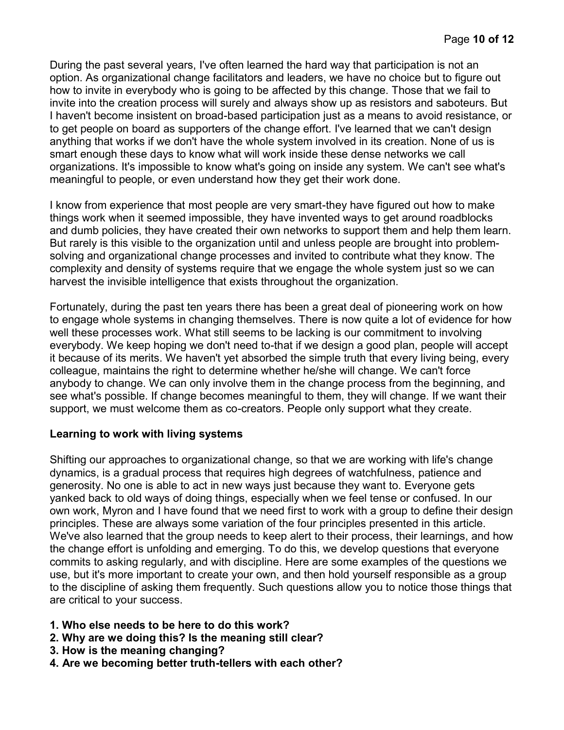During the past several years, I've often learned the hard way that participation is not an option. As organizational change facilitators and leaders, we have no choice but to figure out how to invite in everybody who is going to be affected by this change. Those that we fail to invite into the creation process will surely and always show up as resistors and saboteurs. But I haven't become insistent on broad-based participation just as a means to avoid resistance, or to get people on board as supporters of the change effort. I've learned that we can't design anything that works if we don't have the whole system involved in its creation. None of us is smart enough these days to know what will work inside these dense networks we call organizations. It's impossible to know what's going on inside any system. We can't see what's meaningful to people, or even understand how they get their work done.

I know from experience that most people are very smart-they have figured out how to make things work when it seemed impossible, they have invented ways to get around roadblocks and dumb policies, they have created their own networks to support them and help them learn. But rarely is this visible to the organization until and unless people are brought into problemsolving and organizational change processes and invited to contribute what they know. The complexity and density of systems require that we engage the whole system just so we can harvest the invisible intelligence that exists throughout the organization.

Fortunately, during the past ten years there has been a great deal of pioneering work on how to engage whole systems in changing themselves. There is now quite a lot of evidence for how well these processes work. What still seems to be lacking is our commitment to involving everybody. We keep hoping we don't need to-that if we design a good plan, people will accept it because of its merits. We haven't yet absorbed the simple truth that every living being, every colleague, maintains the right to determine whether he/she will change. We can't force anybody to change. We can only involve them in the change process from the beginning, and see what's possible. If change becomes meaningful to them, they will change. If we want their support, we must welcome them as co-creators. People only support what they create.

# **Learning to work with living systems**

Shifting our approaches to organizational change, so that we are working with life's change dynamics, is a gradual process that requires high degrees of watchfulness, patience and generosity. No one is able to act in new ways just because they want to. Everyone gets yanked back to old ways of doing things, especially when we feel tense or confused. In our own work, Myron and I have found that we need first to work with a group to define their design principles. These are always some variation of the four principles presented in this article. We've also learned that the group needs to keep alert to their process, their learnings, and how the change effort is unfolding and emerging. To do this, we develop questions that everyone commits to asking regularly, and with discipline. Here are some examples of the questions we use, but it's more important to create your own, and then hold yourself responsible as a group to the discipline of asking them frequently. Such questions allow you to notice those things that are critical to your success.

- **1. Who else needs to be here to do this work?**
- **2. Why are we doing this? Is the meaning still clear?**
- **3. How is the meaning changing?**
- **4. Are we becoming better truth-tellers with each other?**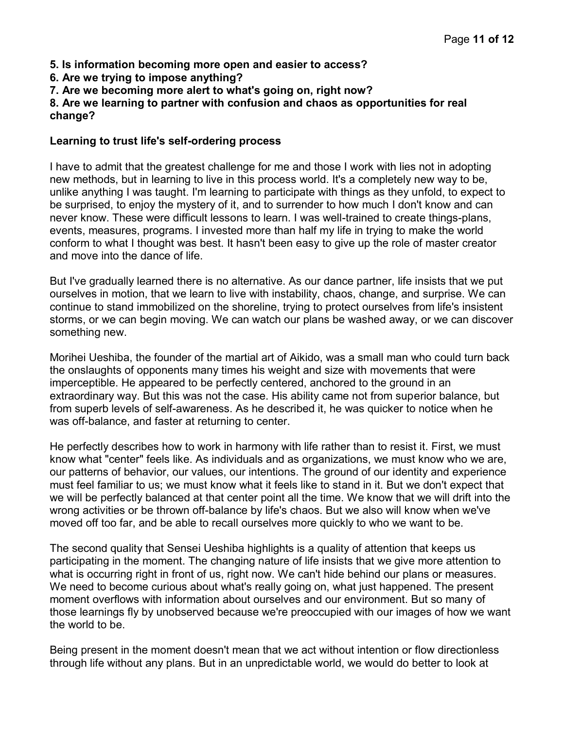**5. Is information becoming more open and easier to access?**

**6. Are we trying to impose anything?**

**7. Are we becoming more alert to what's going on, right now?**

**8. Are we learning to partner with confusion and chaos as opportunities for real change?** 

#### **Learning to trust life's self-ordering process**

I have to admit that the greatest challenge for me and those I work with lies not in adopting new methods, but in learning to live in this process world. It's a completely new way to be, unlike anything I was taught. I'm learning to participate with things as they unfold, to expect to be surprised, to enjoy the mystery of it, and to surrender to how much I don't know and can never know. These were difficult lessons to learn. I was well-trained to create things-plans, events, measures, programs. I invested more than half my life in trying to make the world conform to what I thought was best. It hasn't been easy to give up the role of master creator and move into the dance of life.

But I've gradually learned there is no alternative. As our dance partner, life insists that we put ourselves in motion, that we learn to live with instability, chaos, change, and surprise. We can continue to stand immobilized on the shoreline, trying to protect ourselves from life's insistent storms, or we can begin moving. We can watch our plans be washed away, or we can discover something new.

Morihei Ueshiba, the founder of the martial art of Aikido, was a small man who could turn back the onslaughts of opponents many times his weight and size with movements that were imperceptible. He appeared to be perfectly centered, anchored to the ground in an extraordinary way. But this was not the case. His ability came not from superior balance, but from superb levels of self-awareness. As he described it, he was quicker to notice when he was off-balance, and faster at returning to center.

He perfectly describes how to work in harmony with life rather than to resist it. First, we must know what "center" feels like. As individuals and as organizations, we must know who we are, our patterns of behavior, our values, our intentions. The ground of our identity and experience must feel familiar to us; we must know what it feels like to stand in it. But we don't expect that we will be perfectly balanced at that center point all the time. We know that we will drift into the wrong activities or be thrown off-balance by life's chaos. But we also will know when we've moved off too far, and be able to recall ourselves more quickly to who we want to be.

The second quality that Sensei Ueshiba highlights is a quality of attention that keeps us participating in the moment. The changing nature of life insists that we give more attention to what is occurring right in front of us, right now. We can't hide behind our plans or measures. We need to become curious about what's really going on, what just happened. The present moment overflows with information about ourselves and our environment. But so many of those learnings fly by unobserved because we're preoccupied with our images of how we want the world to be.

Being present in the moment doesn't mean that we act without intention or flow directionless through life without any plans. But in an unpredictable world, we would do better to look at